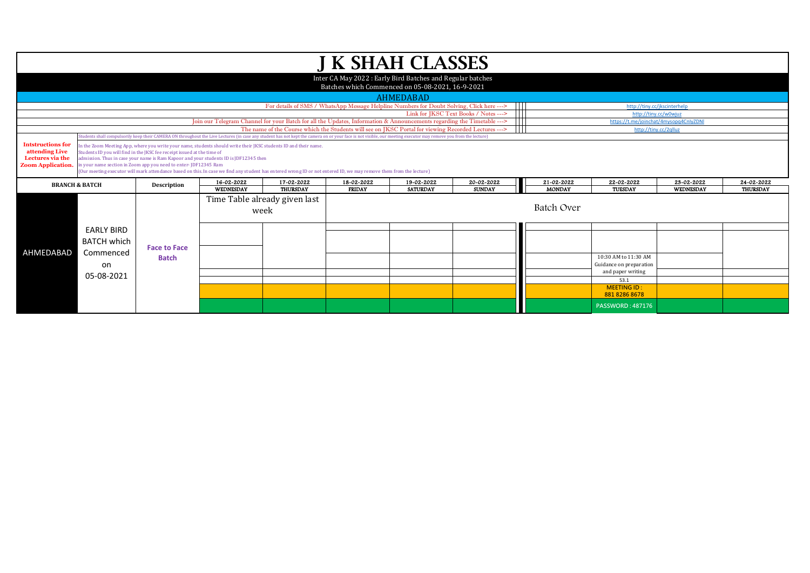|                                            |                                                                                                                                                                  |                                                                 |            |                                                                                                                                                                                                                  |               | <b>J K SHAH CLASSES</b>                                   |                                       |               |                                        |                  |                 |  |  |
|--------------------------------------------|------------------------------------------------------------------------------------------------------------------------------------------------------------------|-----------------------------------------------------------------|------------|------------------------------------------------------------------------------------------------------------------------------------------------------------------------------------------------------------------|---------------|-----------------------------------------------------------|---------------------------------------|---------------|----------------------------------------|------------------|-----------------|--|--|
|                                            |                                                                                                                                                                  |                                                                 |            |                                                                                                                                                                                                                  |               | Inter CA May 2022: Early Bird Batches and Regular batches |                                       |               |                                        |                  |                 |  |  |
|                                            |                                                                                                                                                                  |                                                                 |            |                                                                                                                                                                                                                  |               | Batches which Commenced on 05-08-2021, 16-9-2021          |                                       |               |                                        |                  |                 |  |  |
|                                            |                                                                                                                                                                  |                                                                 |            |                                                                                                                                                                                                                  |               | AHMEDABAD                                                 |                                       |               |                                        |                  |                 |  |  |
|                                            |                                                                                                                                                                  |                                                                 |            | For details of SMS / WhatsApp Message Helpline Numbers for Doubt Solving, Click here --->                                                                                                                        |               |                                                           | $\blacksquare$                        |               | http://tiny.cc/jkscinterhelp           |                  |                 |  |  |
|                                            |                                                                                                                                                                  |                                                                 |            |                                                                                                                                                                                                                  |               |                                                           | Link for IKSC Text Books / Notes ---> |               | http://tiny.cc/w0wiuz                  |                  |                 |  |  |
|                                            |                                                                                                                                                                  |                                                                 |            | Join our Telegram Channel for your Batch for all the Updates, Information & Announcements regarding the Timetable --->                                                                                           |               |                                                           | $\mathbf{1}$                          |               | https://t.me/joinchat/4mysopq4CnlyZDNl |                  |                 |  |  |
|                                            |                                                                                                                                                                  |                                                                 |            | The name of the Course which the Students will see on JKSC Portal for viewing Recorded Lectures --->                                                                                                             |               |                                                           |                                       |               | http://tiny.cc/2qlluz                  |                  |                 |  |  |
|                                            |                                                                                                                                                                  |                                                                 |            | Students shall compulsorily keep their CAMERA ON throughout the Live Lectures (in case any student has not kept the camera on or your face is not visible, our meeting executor may remove you from the lecture) |               |                                                           |                                       |               |                                        |                  |                 |  |  |
| <b>Intstructions for</b><br>attending Live | In the Zoom Meeting App, where you write your name, students should write their JKSC students ID and their name.                                                 |                                                                 |            |                                                                                                                                                                                                                  |               |                                                           |                                       |               |                                        |                  |                 |  |  |
| Lectures via the                           | Students ID you will find in the JKSC fee receipt issued at the time of<br>admission. Thus in case your name is Ram Kapoor and your students ID is JDF12345 then |                                                                 |            |                                                                                                                                                                                                                  |               |                                                           |                                       |               |                                        |                  |                 |  |  |
| <b>Zoom Application.</b>                   |                                                                                                                                                                  | in your name section in Zoom app you need to enter-JDF12345 Ram |            |                                                                                                                                                                                                                  |               |                                                           |                                       |               |                                        |                  |                 |  |  |
|                                            |                                                                                                                                                                  |                                                                 |            | (Our meeting executor will mark attendance based on this. In case we find any student has entered wrong ID or not entered ID, we may remove them from the lecture)                                               |               |                                                           |                                       |               |                                        |                  |                 |  |  |
|                                            | <b>BRANCH &amp; BATCH</b>                                                                                                                                        | Description                                                     | 16-02-2022 | 17-02-2022                                                                                                                                                                                                       | 18-02-2022    | 19-02-2022                                                | 20-02-2022                            | 21-02-2022    | 22-02-2022                             | 23-02-2022       | 24-02-2022      |  |  |
|                                            |                                                                                                                                                                  |                                                                 | WEDNESDAY  | <b>THURSDAY</b>                                                                                                                                                                                                  | <b>FRIDAY</b> | <b>SATURDAY</b>                                           | <b>SUNDAY</b>                         | <b>MONDAY</b> | TUESDAY                                | <b>WEDNESDAY</b> | <b>THURSDAY</b> |  |  |
|                                            |                                                                                                                                                                  |                                                                 |            | Time Table already given last                                                                                                                                                                                    |               |                                                           |                                       |               |                                        |                  |                 |  |  |
|                                            |                                                                                                                                                                  |                                                                 | week       |                                                                                                                                                                                                                  |               | Batch Over                                                |                                       |               |                                        |                  |                 |  |  |
|                                            |                                                                                                                                                                  |                                                                 |            |                                                                                                                                                                                                                  |               |                                                           |                                       |               |                                        |                  |                 |  |  |
|                                            | <b>EARLY BIRD</b>                                                                                                                                                |                                                                 |            |                                                                                                                                                                                                                  |               |                                                           |                                       |               |                                        |                  |                 |  |  |
|                                            |                                                                                                                                                                  |                                                                 |            |                                                                                                                                                                                                                  |               |                                                           |                                       |               |                                        |                  |                 |  |  |
|                                            | <b>BATCH which</b>                                                                                                                                               | <b>Face to Face</b>                                             |            |                                                                                                                                                                                                                  |               |                                                           |                                       |               |                                        |                  |                 |  |  |
| AHMEDABAD                                  | Commenced                                                                                                                                                        |                                                                 |            |                                                                                                                                                                                                                  |               |                                                           |                                       |               | 10:30 AM to 11:30 AM                   |                  |                 |  |  |
|                                            | on                                                                                                                                                               | <b>Batch</b>                                                    |            |                                                                                                                                                                                                                  |               |                                                           |                                       |               | Guidance on preparation                |                  |                 |  |  |
|                                            |                                                                                                                                                                  |                                                                 |            |                                                                                                                                                                                                                  |               |                                                           |                                       |               | and paper writing                      |                  |                 |  |  |
|                                            | 05-08-2021                                                                                                                                                       |                                                                 |            |                                                                                                                                                                                                                  |               |                                                           |                                       |               | 53.1                                   |                  |                 |  |  |
|                                            |                                                                                                                                                                  |                                                                 |            |                                                                                                                                                                                                                  |               |                                                           |                                       |               | <b>MEETING ID:</b>                     |                  |                 |  |  |
|                                            |                                                                                                                                                                  |                                                                 |            |                                                                                                                                                                                                                  |               |                                                           |                                       |               | 881 8286 8678                          |                  |                 |  |  |
|                                            |                                                                                                                                                                  |                                                                 |            |                                                                                                                                                                                                                  |               |                                                           |                                       |               | <b>PASSWORD: 487176</b>                |                  |                 |  |  |
|                                            |                                                                                                                                                                  |                                                                 |            |                                                                                                                                                                                                                  |               |                                                           |                                       |               |                                        |                  |                 |  |  |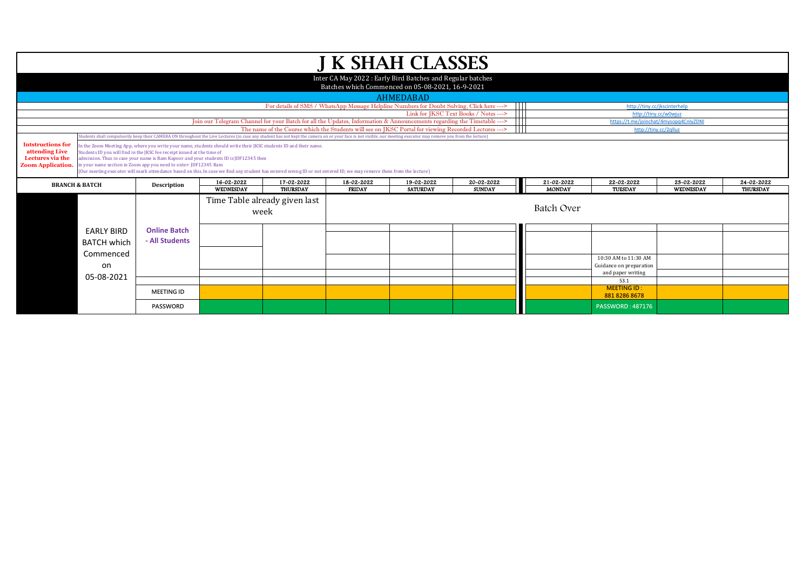|                                                                                            |                                                                                                                                                                                                                                                                                                                                                                                                                                                                                                                                                                                                                                                                                                                                                  |                     |                                                                       |                                                                                                                        |                             | <b>J K SHAH CLASSES</b>                                   |                                       |                             |                                        |                                |                               |  |
|--------------------------------------------------------------------------------------------|--------------------------------------------------------------------------------------------------------------------------------------------------------------------------------------------------------------------------------------------------------------------------------------------------------------------------------------------------------------------------------------------------------------------------------------------------------------------------------------------------------------------------------------------------------------------------------------------------------------------------------------------------------------------------------------------------------------------------------------------------|---------------------|-----------------------------------------------------------------------|------------------------------------------------------------------------------------------------------------------------|-----------------------------|-----------------------------------------------------------|---------------------------------------|-----------------------------|----------------------------------------|--------------------------------|-------------------------------|--|
|                                                                                            |                                                                                                                                                                                                                                                                                                                                                                                                                                                                                                                                                                                                                                                                                                                                                  |                     |                                                                       |                                                                                                                        |                             | Inter CA May 2022: Early Bird Batches and Regular batches |                                       |                             |                                        |                                |                               |  |
|                                                                                            |                                                                                                                                                                                                                                                                                                                                                                                                                                                                                                                                                                                                                                                                                                                                                  |                     |                                                                       |                                                                                                                        |                             | Batches which Commenced on 05-08-2021, 16-9-2021          |                                       |                             |                                        |                                |                               |  |
|                                                                                            |                                                                                                                                                                                                                                                                                                                                                                                                                                                                                                                                                                                                                                                                                                                                                  |                     |                                                                       |                                                                                                                        |                             | <b>AHMEDABAD</b>                                          |                                       |                             |                                        |                                |                               |  |
|                                                                                            |                                                                                                                                                                                                                                                                                                                                                                                                                                                                                                                                                                                                                                                                                                                                                  |                     |                                                                       | For details of SMS / WhatsApp Message Helpline Numbers for Doubt Solving, Click here --->                              |                             |                                                           | 11 I I                                |                             | http://tiny.cc/jkscinterhelp           |                                |                               |  |
|                                                                                            |                                                                                                                                                                                                                                                                                                                                                                                                                                                                                                                                                                                                                                                                                                                                                  |                     |                                                                       |                                                                                                                        |                             |                                                           | Link for JKSC Text Books / Notes ---> |                             | http://tiny.cc/w0wjuz                  |                                |                               |  |
|                                                                                            |                                                                                                                                                                                                                                                                                                                                                                                                                                                                                                                                                                                                                                                                                                                                                  |                     |                                                                       | Join our Telegram Channel for your Batch for all the Updates, Information & Announcements regarding the Timetable ---> |                             |                                                           | Ш                                     |                             | https://t.me/joinchat/4mysopq4CnlyZDNl |                                |                               |  |
|                                                                                            |                                                                                                                                                                                                                                                                                                                                                                                                                                                                                                                                                                                                                                                                                                                                                  |                     |                                                                       | The name of the Course which the Students will see on JKSC Portal for viewing Recorded Lectures --->                   |                             |                                                           |                                       |                             | http://tiny.cc/2qlluz                  |                                |                               |  |
| <b>Intstructions for</b><br>attending Live<br>Lectures via the<br><b>Zoom Application.</b> | tudents shall compulsorily keep their CAMERA ON throughout the Live Lectures (in case any student has not kept the camera on or your face is not visible, our meeting executor may remove you from the lecture)<br>In the Zoom Meeting App, where you write your name, students should write their JKSC students ID and their name.<br>Students ID you will find in the IKSC fee receipt issued at the time of<br>admission. Thus in case your name is Ram Kapoor and your students ID is JDF12345 then<br>in your name section in Zoom app you need to enter-JDF12345 Ram<br>(Our meeting executor will mark attendance based on this. In case we find any student has entered wrong ID or not entered ID, we may remove them from the lecture) |                     |                                                                       |                                                                                                                        |                             |                                                           |                                       |                             |                                        |                                |                               |  |
|                                                                                            | <b>BRANCH &amp; BATCH</b>                                                                                                                                                                                                                                                                                                                                                                                                                                                                                                                                                                                                                                                                                                                        | <b>Description</b>  | 16-02-2022                                                            | 17-02-2022                                                                                                             | 18-02-2022<br><b>FRIDAY</b> | 19-02-2022<br><b>SATURDAY</b>                             | 20-02-2022<br><b>SUNDAY</b>           | 21-02-2022<br><b>MONDAY</b> | 22-02-2022<br><b>TUESDAY</b>           | 23-02-2022<br><b>WEDNESDAY</b> | 24-02-2022<br><b>THURSDAY</b> |  |
|                                                                                            |                                                                                                                                                                                                                                                                                                                                                                                                                                                                                                                                                                                                                                                                                                                                                  |                     | WEDNESDAY<br><b>THURSDAY</b><br>Time Table already given last<br>week |                                                                                                                        |                             |                                                           |                                       |                             | Batch Over                             |                                |                               |  |
|                                                                                            |                                                                                                                                                                                                                                                                                                                                                                                                                                                                                                                                                                                                                                                                                                                                                  |                     |                                                                       |                                                                                                                        |                             |                                                           |                                       |                             |                                        |                                |                               |  |
|                                                                                            |                                                                                                                                                                                                                                                                                                                                                                                                                                                                                                                                                                                                                                                                                                                                                  |                     |                                                                       |                                                                                                                        |                             |                                                           |                                       |                             |                                        |                                |                               |  |
|                                                                                            | <b>EARLY BIRD</b>                                                                                                                                                                                                                                                                                                                                                                                                                                                                                                                                                                                                                                                                                                                                | <b>Online Batch</b> |                                                                       |                                                                                                                        |                             |                                                           |                                       |                             |                                        |                                |                               |  |
|                                                                                            | <b>BATCH which</b>                                                                                                                                                                                                                                                                                                                                                                                                                                                                                                                                                                                                                                                                                                                               | - All Students      |                                                                       |                                                                                                                        |                             |                                                           |                                       |                             |                                        |                                |                               |  |
|                                                                                            | Commenced                                                                                                                                                                                                                                                                                                                                                                                                                                                                                                                                                                                                                                                                                                                                        |                     |                                                                       |                                                                                                                        |                             |                                                           |                                       |                             | 10:30 AM to 11:30 AM                   |                                |                               |  |
|                                                                                            | on                                                                                                                                                                                                                                                                                                                                                                                                                                                                                                                                                                                                                                                                                                                                               |                     |                                                                       |                                                                                                                        |                             |                                                           |                                       |                             | Guidance on preparation                |                                |                               |  |
|                                                                                            |                                                                                                                                                                                                                                                                                                                                                                                                                                                                                                                                                                                                                                                                                                                                                  |                     |                                                                       |                                                                                                                        |                             |                                                           |                                       |                             | and paper writing                      |                                |                               |  |
|                                                                                            | 05-08-2021                                                                                                                                                                                                                                                                                                                                                                                                                                                                                                                                                                                                                                                                                                                                       |                     |                                                                       |                                                                                                                        |                             |                                                           |                                       |                             | 53.1                                   |                                |                               |  |
|                                                                                            |                                                                                                                                                                                                                                                                                                                                                                                                                                                                                                                                                                                                                                                                                                                                                  | <b>MEETING ID</b>   |                                                                       |                                                                                                                        |                             |                                                           |                                       |                             | <b>MEETING ID:</b><br>881 8286 8678    |                                |                               |  |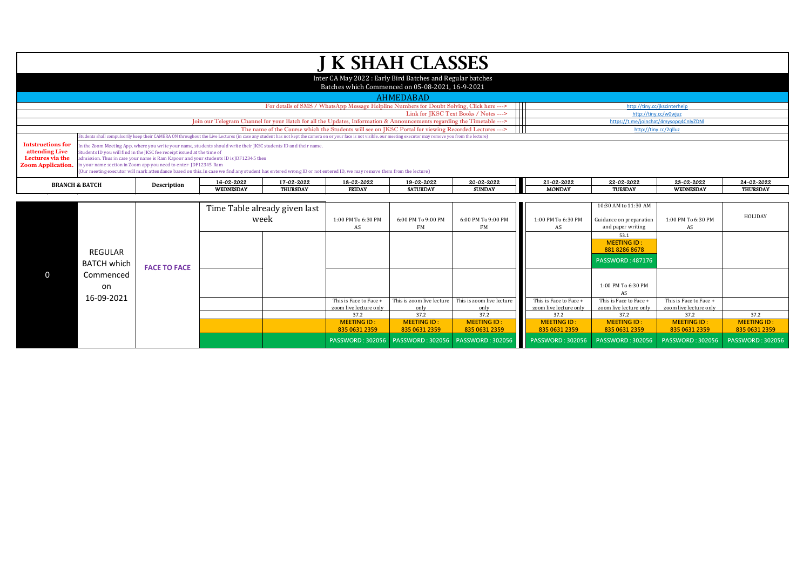|                                                                                            |                                      |                                                                                                                                            |                                                                                                                                                                                                                                                                                                                                                                                 |                               |                          | <b>J K SHAH CLASSES</b>                                                                                                                                                                                          |                                                                                           |                          |                                                                      |                          |                 |
|--------------------------------------------------------------------------------------------|--------------------------------------|--------------------------------------------------------------------------------------------------------------------------------------------|---------------------------------------------------------------------------------------------------------------------------------------------------------------------------------------------------------------------------------------------------------------------------------------------------------------------------------------------------------------------------------|-------------------------------|--------------------------|------------------------------------------------------------------------------------------------------------------------------------------------------------------------------------------------------------------|-------------------------------------------------------------------------------------------|--------------------------|----------------------------------------------------------------------|--------------------------|-----------------|
|                                                                                            |                                      |                                                                                                                                            |                                                                                                                                                                                                                                                                                                                                                                                 |                               |                          | Inter CA May 2022 : Early Bird Batches and Regular batches                                                                                                                                                       |                                                                                           |                          |                                                                      |                          |                 |
|                                                                                            |                                      |                                                                                                                                            |                                                                                                                                                                                                                                                                                                                                                                                 |                               |                          | Batches which Commenced on 05-08-2021, 16-9-2021                                                                                                                                                                 |                                                                                           |                          |                                                                      |                          |                 |
|                                                                                            |                                      |                                                                                                                                            |                                                                                                                                                                                                                                                                                                                                                                                 |                               |                          | <b>AHMEDABAD</b>                                                                                                                                                                                                 |                                                                                           |                          |                                                                      |                          |                 |
|                                                                                            |                                      |                                                                                                                                            |                                                                                                                                                                                                                                                                                                                                                                                 |                               |                          |                                                                                                                                                                                                                  | For details of SMS / WhatsApp Message Helpline Numbers for Doubt Solving, Click here ---> |                          | http://tiny.cc/jkscinterhelp                                         |                          |                 |
|                                                                                            |                                      |                                                                                                                                            |                                                                                                                                                                                                                                                                                                                                                                                 |                               |                          |                                                                                                                                                                                                                  | T<br>Link for IKSC Text Books / Notes --->                                                |                          | http://tiny.cc/w0wjuz                                                |                          |                 |
|                                                                                            |                                      |                                                                                                                                            |                                                                                                                                                                                                                                                                                                                                                                                 |                               |                          | Join our Telegram Channel for your Batch for all the Updates, Information & Announcements regarding the Timetable --->                                                                                           | ┯                                                                                         |                          | https://t.me/joinchat/4mysopq4CnlyZDNI                               |                          |                 |
|                                                                                            |                                      |                                                                                                                                            |                                                                                                                                                                                                                                                                                                                                                                                 |                               |                          | The name of the Course which the Students will see on JKSC Portal for viewing Recorded Lectures --->                                                                                                             |                                                                                           |                          | http://tiny.cc/2qlluz                                                |                          |                 |
|                                                                                            |                                      |                                                                                                                                            |                                                                                                                                                                                                                                                                                                                                                                                 |                               |                          | Students shall compulsorily keep their CAMERA ON throughout the Live Lectures (in case any student has not kept the camera on or your face is not visible, our meeting executor may remove you from the lecture) |                                                                                           |                          |                                                                      |                          |                 |
| <b>Intstructions for</b><br>attending Live<br>Lectures via the<br><b>Zoom Application.</b> |                                      | Students ID you will find in the IKSC fee receipt issued at the time of<br>in your name section in Zoom app you need to enter-JDF12345 Ram | In the Zoom Meeting App, where you write your name, students should write their JKSC students ID and their name.<br>admission. Thus in case your name is Ram Kapoor and your students ID is JDF12345 then<br>(Our meeting executor will mark attendance based on this. In case we find any student has entered wrong ID or not entered ID, we may remove them from the lecture) |                               |                          |                                                                                                                                                                                                                  |                                                                                           |                          |                                                                      |                          |                 |
|                                                                                            | <b>BRANCH &amp; BATCH</b>            | Description                                                                                                                                | 16-02-2022                                                                                                                                                                                                                                                                                                                                                                      | 17-02-2022                    | 18-02-2022               | 19-02-2022                                                                                                                                                                                                       | 20-02-2022                                                                                | 21-02-2022               | 22-02-2022                                                           | 23-02-2022               | 24-02-2022      |
|                                                                                            |                                      |                                                                                                                                            | WEDNESDAY                                                                                                                                                                                                                                                                                                                                                                       | <b>THURSDAY</b>               | <b>FRIDAY</b>            | <b>SATURDAY</b>                                                                                                                                                                                                  | <b>SUNDAY</b>                                                                             | <b>MONDAY</b>            | <b>TUESDAY</b>                                                       | WEDNESDAY                | <b>THURSDAY</b> |
|                                                                                            |                                      |                                                                                                                                            |                                                                                                                                                                                                                                                                                                                                                                                 |                               |                          |                                                                                                                                                                                                                  |                                                                                           |                          |                                                                      |                          |                 |
|                                                                                            |                                      |                                                                                                                                            |                                                                                                                                                                                                                                                                                                                                                                                 | Time Table already given last |                          |                                                                                                                                                                                                                  |                                                                                           |                          | 10:30 AM to 11:30 AM                                                 |                          |                 |
|                                                                                            |                                      |                                                                                                                                            |                                                                                                                                                                                                                                                                                                                                                                                 | week                          | 1:00 PM To 6:30 PM<br>AS | 6:00 PM To 9:00 PM<br><b>FM</b>                                                                                                                                                                                  | 6:00 PM To 9:00 PM<br><b>FM</b>                                                           | 1:00 PM To 6:30 PM<br>AS | Guidance on preparation<br>and paper writing                         | 1:00 PM To 6:30 PM<br>AS | HOLIDAY         |
|                                                                                            | <b>REGULAR</b><br><b>BATCH which</b> |                                                                                                                                            |                                                                                                                                                                                                                                                                                                                                                                                 |                               |                          |                                                                                                                                                                                                                  |                                                                                           |                          | 53.1<br><b>MEETING ID:</b><br>88182868678<br><b>PASSWORD: 487176</b> |                          |                 |
| O                                                                                          | Commenced<br>on<br>16-09-2021        | <b>FACE TO FACE</b>                                                                                                                        |                                                                                                                                                                                                                                                                                                                                                                                 |                               |                          | This is Face to Face $+$ This is zoom live lecture This is zoom live lecture                                                                                                                                     |                                                                                           | This is Face to Face +   | 1:00 PM To 6:30 PM<br>AS<br>This is Face to Face +                   | This is Face to Face +   |                 |

This is zoom live lecture This is zoom live lecture

only<br>37.2

**MEETING ID : 835 0631 2359**

This is Face to Face + zoom live lecture only<br>37.2

37.2 **37.2 37.2 37.2 37.2 37.2** 37.2 37.2 37.2

**MEETING ID : 835 0631 2359**

**PASSWORD : 302056 PASSWORD : 302056 PASSWORD : 302056 PASSWORD : 302056 PASSWORD : 302056 PASSWORD : 302056 PASSWORD : 302056**

This is Face to Face + zoom live lecture only<br>37.2

**MEETING ID : 835 0631 2359**

This is Face to Face + zoom live lecture only

**MEETING ID : 835 0631 2359**

**MEETING ID : 835 0631 2359**

only<br>37.2

**MEETING ID : 835 0631 2359**

This is Face to Face + zoom live lecture only

**MEETING ID : 835 0631 2359**